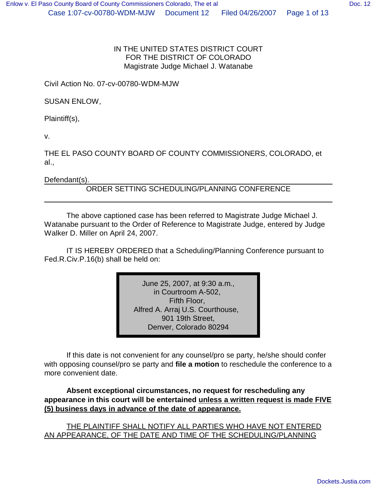### IN THE UNITED STATES DISTRICT COURT FOR THE DISTRICT OF COLORADO Magistrate Judge Michael J. Watanabe

Civil Action No. 07-cv-00780-WDM-MJW

SUSAN ENLOW,

Plaintiff(s),

v.

THE EL PASO COUNTY BOARD OF COUNTY COMMISSIONERS, COLORADO, et al.,

Defendant(s).

ORDER SETTING SCHEDULING/PLANNING CONFERENCE

The above captioned case has been referred to Magistrate Judge Michael J. Watanabe pursuant to the Order of Reference to Magistrate Judge, entered by Judge Walker D. Miller on April 24, 2007.

IT IS HEREBY ORDERED that a Scheduling/Planning Conference pursuant to Fed.R.Civ.P.16(b) shall be held on:

> June 25, 2007, at 9:30 a.m., in Courtroom A-502, Fifth Floor, Alfred A. Arraj U.S. Courthouse, 901 19th Street, Denver, Colorado 80294

If this date is not convenient for any counsel/pro se party, he/she should confer with opposing counsel/pro se party and **file a motion** to reschedule the conference to a more convenient date.

**Absent exceptional circumstances, no request for rescheduling any appearance in this court will be entertained unless a written request is made FIVE (5) business days in advance of the date of appearance.**

THE PLAINTIFF SHALL NOTIFY ALL PARTIES WHO HAVE NOT ENTERED AN APPEARANCE, OF THE DATE AND TIME OF THE SCHEDULING/PLANNING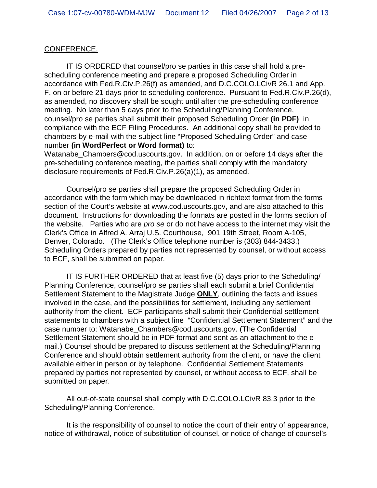### CONFERENCE.

IT IS ORDERED that counsel/pro se parties in this case shall hold a prescheduling conference meeting and prepare a proposed Scheduling Order in accordance with Fed.R.Civ.P.26(f) as amended, and D.C.COLO.LCivR 26.1 and App. F, on or before 21 days prior to scheduling conference. Pursuant to Fed.R.Civ.P.26(d), as amended, no discovery shall be sought until after the pre-scheduling conference meeting. No later than 5 days prior to the Scheduling/Planning Conference, counsel/pro se parties shall submit their proposed Scheduling Order **(in PDF)** in compliance with the ECF Filing Procedures. An additional copy shall be provided to chambers by e-mail with the subject line "Proposed Scheduling Order" and case number **(in WordPerfect or Word format)** to:

Watanabe Chambers@cod.uscourts.gov. In addition, on or before 14 days after the pre-scheduling conference meeting, the parties shall comply with the mandatory disclosure requirements of Fed.R.Civ.P.26(a)(1), as amended.

Counsel/pro se parties shall prepare the proposed Scheduling Order in accordance with the form which may be downloaded in richtext format from the forms section of the Court's website at www.cod.uscourts.gov, and are also attached to this document. Instructions for downloading the formats are posted in the forms section of the website. Parties who are *pro se* or do not have access to the internet may visit the Clerk's Office in Alfred A. Arraj U.S. Courthouse, 901 19th Street, Room A-105, Denver, Colorado. (The Clerk's Office telephone number is (303) 844-3433.) Scheduling Orders prepared by parties not represented by counsel, or without access to ECF, shall be submitted on paper.

IT IS FURTHER ORDERED that at least five (5) days prior to the Scheduling/ Planning Conference, counsel/pro se parties shall each submit a brief Confidential Settlement Statement to the Magistrate Judge **ONLY**, outlining the facts and issues involved in the case, and the possibilities for settlement, including any settlement authority from the client. ECF participants shall submit their Confidential settlement statements to chambers with a subject line "Confidential Settlement Statement" and the case number to: Watanabe\_Chambers@cod.uscourts.gov. (The Confidential Settlement Statement should be in PDF format and sent as an attachment to the email.) Counsel should be prepared to discuss settlement at the Scheduling/Planning Conference and should obtain settlement authority from the client, or have the client available either in person or by telephone. Confidential Settlement Statements prepared by parties not represented by counsel, or without access to ECF, shall be submitted on paper.

All out-of-state counsel shall comply with D.C.COLO.LCivR 83.3 prior to the Scheduling/Planning Conference.

It is the responsibility of counsel to notice the court of their entry of appearance, notice of withdrawal, notice of substitution of counsel, or notice of change of counsel's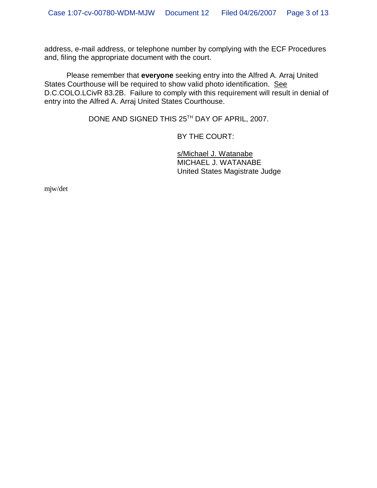address, e-mail address, or telephone number by complying with the ECF Procedures and, filing the appropriate document with the court.

Please remember that **everyone** seeking entry into the Alfred A. Arraj United States Courthouse will be required to show valid photo identification. See D.C.COLO.LCivR 83.2B. Failure to comply with this requirement will result in denial of entry into the Alfred A. Arraj United States Courthouse.

DONE AND SIGNED THIS 25<sup>TH</sup> DAY OF APRIL, 2007.

BY THE COURT:

s/Michael J. Watanabe MICHAEL J. WATANABE United States Magistrate Judge

mjw/det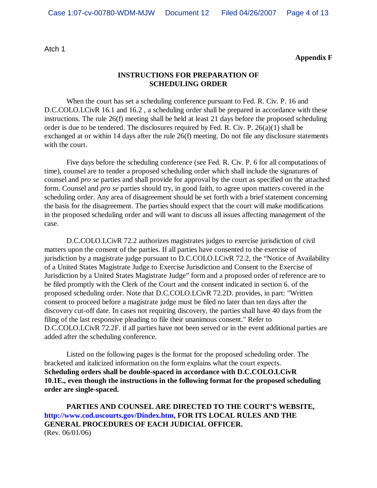Atch 1

**Appendix F**

#### **INSTRUCTIONS FOR PREPARATION OF SCHEDULING ORDER**

When the court has set a scheduling conference pursuant to Fed. R. Civ. P. 16 and D.C.COLO.LCivR 16.1 and 16.2, a scheduling order shall be prepared in accordance with these instructions. The rule 26(f) meeting shall be held at least 21 days before the proposed scheduling order is due to be tendered. The disclosures required by Fed. R. Civ. P. 26(a)(1) shall be exchanged at or within 14 days after the rule 26(f) meeting. Do not file any disclosure statements with the court.

Five days before the scheduling conference (see Fed. R. Civ. P. 6 for all computations of time), counsel are to tender a proposed scheduling order which shall include the signatures of counsel and *pro se* parties and shall provide for approval by the court as specified on the attached form. Counsel and *pro se* parties should try, in good faith, to agree upon matters covered in the scheduling order. Any area of disagreement should be set forth with a brief statement concerning the basis for the disagreement. The parties should expect that the court will make modifications in the proposed scheduling order and will want to discuss all issues affecting management of the case.

D.C.COLO.LCivR 72.2 authorizes magistrates judges to exercise jurisdiction of civil matters upon the consent of the parties. If all parties have consented to the exercise of jurisdiction by a magistrate judge pursuant to D.C.COLO.LCivR 72.2, the "Notice of Availability of a United States Magistrate Judge to Exercise Jurisdiction and Consent to the Exercise of Jurisdiction by a United States Magistrate Judge" form and a proposed order of reference are to be filed promptly with the Clerk of the Court and the consent indicated in section 6. of the proposed scheduling order. Note that D.C.COLO.LCivR 72.2D. provides, in part: "Written consent to proceed before a magistrate judge must be filed no later than ten days after the discovery cut-off date. In cases not requiring discovery, the parties shall have 40 days from the filing of the last responsive pleading to file their unanimous consent." Refer to D.C.COLO.LCivR 72.2F. if all parties have not been served or in the event additional parties are added after the scheduling conference.

Listed on the following pages is the format for the proposed scheduling order. The bracketed and italicized information on the form explains what the court expects. **Scheduling orders shall be double-spaced in accordance with D.C.COLO.LCivR 10.1E., even though the instructions in the following format for the proposed scheduling order are single-spaced.**

**PARTIES AND COUNSEL ARE DIRECTED TO THE COURT'S WEBSITE, http://www.cod.uscourts.gov/Dindex.htm, FOR ITS LOCAL RULES AND THE GENERAL PROCEDURES OF EACH JUDICIAL OFFICER.** (Rev. 06/01/06)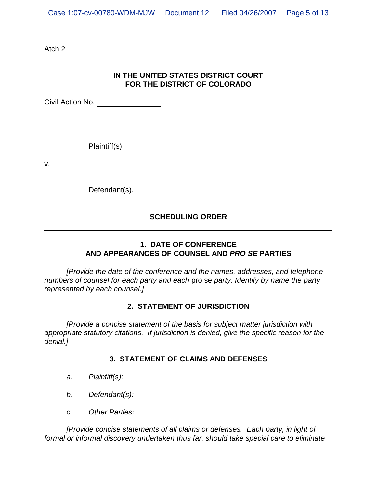Atch 2

## **IN THE UNITED STATES DISTRICT COURT FOR THE DISTRICT OF COLORADO**

Civil Action No.

Plaintiff(s),

v.

Defendant(s).

## **SCHEDULING ORDER**

## **1. DATE OF CONFERENCE AND APPEARANCES OF COUNSEL AND** *PRO SE* **PARTIES**

*[Provide the date of the conference and the names, addresses, and telephone numbers of counsel for each party and each* pro se *party. Identify by name the party represented by each counsel.]*

### **2. STATEMENT OF JURISDICTION**

*[Provide a concise statement of the basis for subject matter jurisdiction with appropriate statutory citations. If jurisdiction is denied, give the specific reason for the denial.]*

### **3. STATEMENT OF CLAIMS AND DEFENSES**

- *a. Plaintiff(s):*
- *b. Defendant(s):*
- *c. Other Parties:*

*[Provide concise statements of all claims or defenses. Each party, in light of formal or informal discovery undertaken thus far, should take special care to eliminate*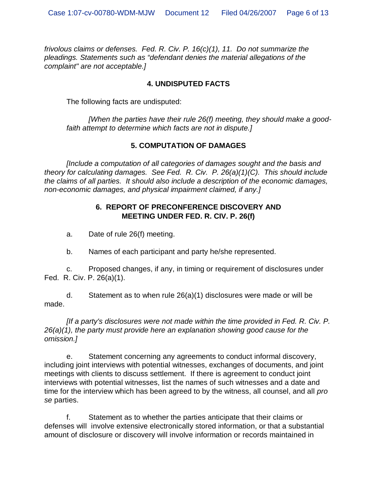*frivolous claims or defenses. Fed. R. Civ. P. 16(c)(1), 11. Do not summarize the pleadings. Statements such as "defendant denies the material allegations of the complaint" are not acceptable.]*

### **4. UNDISPUTED FACTS**

The following facts are undisputed:

*[When the parties have their rule 26(f) meeting, they should make a goodfaith attempt to determine which facts are not in dispute.]*

## **5. COMPUTATION OF DAMAGES**

*[Include a computation of all categories of damages sought and the basis and theory for calculating damages. See Fed. R. Civ. P. 26(a)(1)(C). This should include the claims of all parties. It should also include a description of the economic damages, non-economic damages, and physical impairment claimed, if any.]*

### **6. REPORT OF PRECONFERENCE DISCOVERY AND MEETING UNDER FED. R. CIV. P. 26(f)**

a. Date of rule 26(f) meeting.

b. Names of each participant and party he/she represented.

c. Proposed changes, if any, in timing or requirement of disclosures under Fed. R. Civ. P. 26(a)(1).

d. Statement as to when rule 26(a)(1) disclosures were made or will be made.

*[If a party's disclosures were not made within the time provided in Fed. R. Civ. P. 26(a)(1), the party must provide here an explanation showing good cause for the omission.]*

e. Statement concerning any agreements to conduct informal discovery, including joint interviews with potential witnesses, exchanges of documents, and joint meetings with clients to discuss settlement. If there is agreement to conduct joint interviews with potential witnesses, list the names of such witnesses and a date and time for the interview which has been agreed to by the witness, all counsel, and all *pro se* parties.

f. Statement as to whether the parties anticipate that their claims or defenses will involve extensive electronically stored information, or that a substantial amount of disclosure or discovery will involve information or records maintained in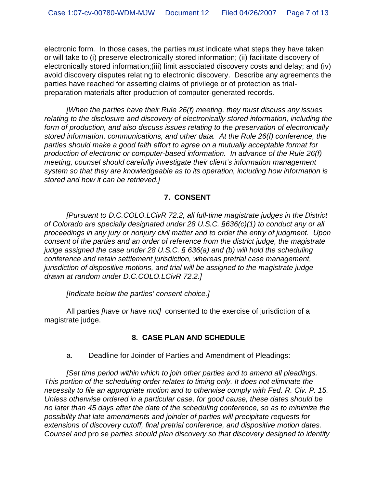electronic form. In those cases, the parties must indicate what steps they have taken or will take to (i) preserve electronically stored information; (ii) facilitate discovery of electronically stored information;(iii) limit associated discovery costs and delay; and (iv) avoid discovery disputes relating to electronic discovery. Describe any agreements the parties have reached for asserting claims of privilege or of protection as trialpreparation materials after production of computer-generated records.

*[When the parties have their Rule 26(f) meeting, they must discuss any issues relating to the disclosure and discovery of electronically stored information, including the form of production, and also discuss issues relating to the preservation of electronically stored information, communications, and other data. At the Rule 26(f) conference, the parties should make a good faith effort to agree on a mutually acceptable format for production of electronic or computer-based information. In advance of the Rule 26(f) meeting, counsel should carefully investigate their client's information management system so that they are knowledgeable as to its operation, including how information is stored and how it can be retrieved.]*

## **7. CONSENT**

*[Pursuant to D.C.COLO.LCivR 72.2, all full-time magistrate judges in the District of Colorado are specially designated under 28 U.S.C. §636(c)(1) to conduct any or all proceedings in any jury or nonjury civil matter and to order the entry of judgment. Upon consent of the parties and an order of reference from the district judge, the magistrate judge assigned the case under 28 U.S.C. § 636(a) and (b) will hold the scheduling conference and retain settlement jurisdiction, whereas pretrial case management, jurisdiction of dispositive motions, and trial will be assigned to the magistrate judge drawn at random under D.C.COLO.LCivR 72.2.]*

*[Indicate below the parties' consent choice.]*

All parties *[have or have not]* consented to the exercise of jurisdiction of a magistrate judge.

# **8. CASE PLAN AND SCHEDULE**

a. Deadline for Joinder of Parties and Amendment of Pleadings:

*[Set time period within which to join other parties and to amend all pleadings. This portion of the scheduling order relates to timing only. It does not eliminate the necessity to file an appropriate motion and to otherwise comply with Fed. R. Civ. P. 15. Unless otherwise ordered in a particular case, for good cause, these dates should be no later than 45 days after the date of the scheduling conference, so as to minimize the possibility that late amendments and joinder of parties will precipitate requests for extensions of discovery cutoff, final pretrial conference, and dispositive motion dates. Counsel and* pro se *parties should plan discovery so that discovery designed to identify*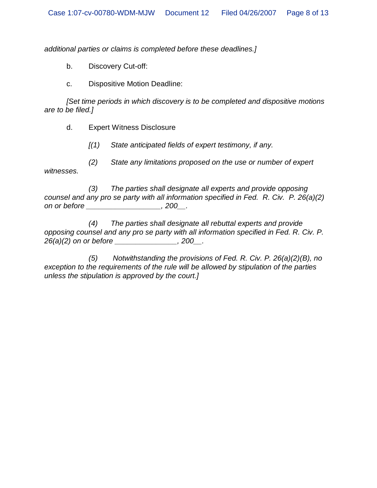*additional parties or claims is completed before these deadlines.]*

b. Discovery Cut-off:

c. Dispositive Motion Deadline:

*[Set time periods in which discovery is to be completed and dispositive motions are to be filed.]*

d. Expert Witness Disclosure

*[(1) State anticipated fields of expert testimony, if any.*

*(2) State any limitations proposed on the use or number of expert witnesses.*

*(3) The parties shall designate all experts and provide opposing counsel and any pro se party with all information specified in Fed. R. Civ. P. 26(a)(2) on or before \_\_\_\_\_\_\_\_\_\_\_\_\_\_\_\_\_\_, 200\_\_.*

*(4) The parties shall designate all rebuttal experts and provide opposing counsel and any pro se party with all information specified in Fed. R. Civ. P. 26(a)(2) on or before \_\_\_\_\_\_\_\_\_\_\_\_\_\_\_, 200\_\_.*

*(5) Notwithstanding the provisions of Fed. R. Civ. P. 26(a)(2)(B), no exception to the requirements of the rule will be allowed by stipulation of the parties unless the stipulation is approved by the court.]*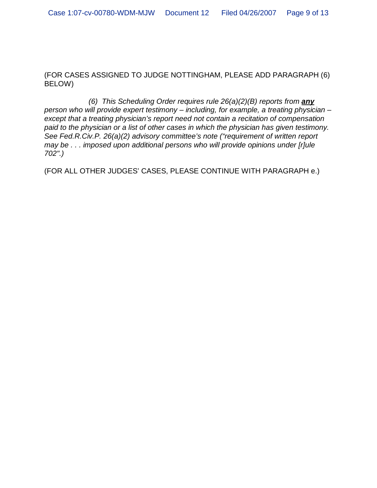(FOR CASES ASSIGNED TO JUDGE NOTTINGHAM, PLEASE ADD PARAGRAPH (6) BELOW)

*(6) This Scheduling Order requires rule 26(a)(2)(B) reports from any person who will provide expert testimony – including, for example, a treating physician – except that a treating physician's report need not contain a recitation of compensation paid to the physician or a list of other cases in which the physician has given testimony. See Fed.R.Civ.P. 26(a)(2) advisory committee's note ("requirement of written report may be . . . imposed upon additional persons who will provide opinions under [r]ule 702".)*

(FOR ALL OTHER JUDGES' CASES, PLEASE CONTINUE WITH PARAGRAPH e.)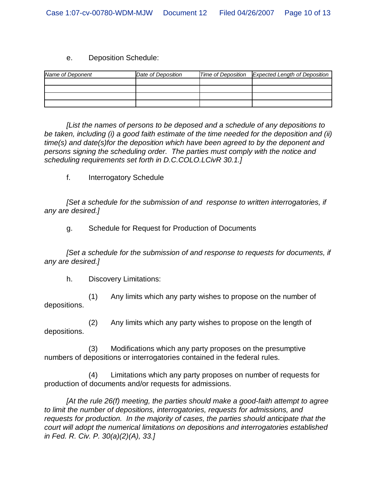### e. Deposition Schedule:

| Name of Deponent | Date of Deposition | Time of Deposition Expected Length of Deposition |
|------------------|--------------------|--------------------------------------------------|
|                  |                    |                                                  |
|                  |                    |                                                  |
|                  |                    |                                                  |
|                  |                    |                                                  |

*[List the names of persons to be deposed and a schedule of any depositions to be taken, including (i) a good faith estimate of the time needed for the deposition and (ii) time(s) and date(s)for the deposition which have been agreed to by the deponent and persons signing the scheduling order. The parties must comply with the notice and scheduling requirements set forth in D.C.COLO.LCivR 30.1.]*

f. Interrogatory Schedule

*[Set a schedule for the submission of and response to written interrogatories, if any are desired.]*

g. Schedule for Request for Production of Documents

*[Set a schedule for the submission of and response to requests for documents, if any are desired.]*

h. Discovery Limitations:

(1) Any limits which any party wishes to propose on the number of depositions.

(2) Any limits which any party wishes to propose on the length of depositions.

(3) Modifications which any party proposes on the presumptive numbers of depositions or interrogatories contained in the federal rules.

(4) Limitations which any party proposes on number of requests for production of documents and/or requests for admissions.

*[At the rule 26(f) meeting, the parties should make a good-faith attempt to agree to limit the number of depositions, interrogatories, requests for admissions, and requests for production. In the majority of cases, the parties should anticipate that the court will adopt the numerical limitations on depositions and interrogatories established in Fed. R. Civ. P. 30(a)(2)(A), 33.]*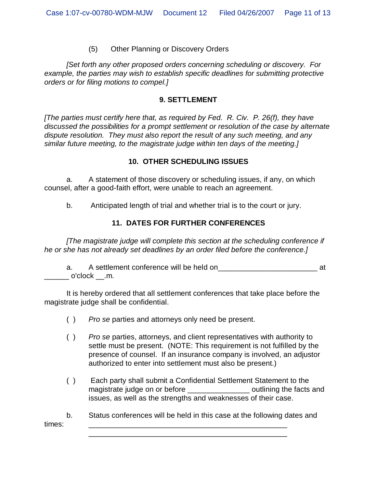### (5) Other Planning or Discovery Orders

*[Set forth any other proposed orders concerning scheduling or discovery. For example, the parties may wish to establish specific deadlines for submitting protective orders or for filing motions to compel.]*

#### **9. SETTLEMENT**

*[The parties must certify here that, as required by Fed. R. Civ. P. 26(f), they have discussed the possibilities for a prompt settlement or resolution of the case by alternate dispute resolution. They must also report the result of any such meeting, and any similar future meeting, to the magistrate judge within ten days of the meeting.]*

#### **10. OTHER SCHEDULING ISSUES**

a. A statement of those discovery or scheduling issues, if any, on which counsel, after a good-faith effort, were unable to reach an agreement.

b. Anticipated length of trial and whether trial is to the court or jury.

### **11. DATES FOR FURTHER CONFERENCES**

*[The magistrate judge will complete this section at the scheduling conference if he or she has not already set deadlines by an order filed before the conference.]*

a. A settlement conference will be held on\_\_\_\_\_\_\_\_\_\_\_\_\_\_\_\_\_\_\_\_\_\_\_\_ at  $\_$  o'clock  $\_$ .m.

It is hereby ordered that all settlement conferences that take place before the magistrate judge shall be confidential.

- ( ) *Pro se* parties and attorneys only need be present.
- ( ) *Pro se* parties, attorneys, and client representatives with authority to settle must be present. (NOTE: This requirement is not fulfilled by the presence of counsel. If an insurance company is involved, an adjustor authorized to enter into settlement must also be present.)
- ( ) Each party shall submit a Confidential Settlement Statement to the magistrate judge on or before the section of continuing the facts and issues, as well as the strengths and weaknesses of their case.

b. Status conferences will be held in this case at the following dates and times: \_\_\_\_\_\_\_\_\_\_\_\_\_\_\_\_\_\_\_\_\_\_\_\_\_\_\_\_\_\_\_\_\_\_\_\_\_\_\_\_\_\_\_\_\_\_\_\_

\_\_\_\_\_\_\_\_\_\_\_\_\_\_\_\_\_\_\_\_\_\_\_\_\_\_\_\_\_\_\_\_\_\_\_\_\_\_\_\_\_\_\_\_\_\_\_\_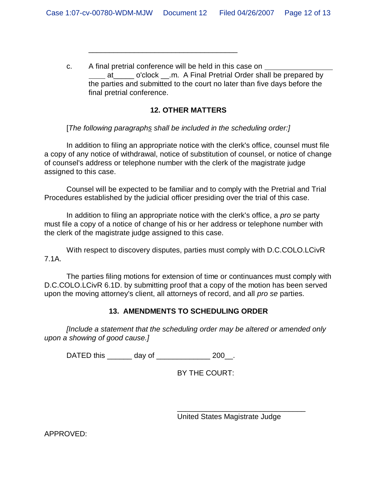c. A final pretrial conference will be held in this case on at o'clock .m. A Final Pretrial Order shall be prepared by the parties and submitted to the court no later than five days before the final pretrial conference.

### **12. OTHER MATTERS**

[*The following paragraphs shall be included in the scheduling order:]*

\_\_\_\_\_\_\_\_\_\_\_\_\_\_\_\_\_\_\_\_\_\_\_\_\_\_\_\_\_\_\_\_\_\_\_\_

In addition to filing an appropriate notice with the clerk's office, counsel must file a copy of any notice of withdrawal, notice of substitution of counsel, or notice of change of counsel's address or telephone number with the clerk of the magistrate judge assigned to this case.

Counsel will be expected to be familiar and to comply with the Pretrial and Trial Procedures established by the judicial officer presiding over the trial of this case.

In addition to filing an appropriate notice with the clerk's office, a *pro se* party must file a copy of a notice of change of his or her address or telephone number with the clerk of the magistrate judge assigned to this case.

With respect to discovery disputes, parties must comply with D.C.COLO.LCivR 7.1A.

The parties filing motions for extension of time or continuances must comply with D.C.COLO.LCivR 6.1D. by submitting proof that a copy of the motion has been served upon the moving attorney's client, all attorneys of record, and all *pro se* parties.

### **13. AMENDMENTS TO SCHEDULING ORDER**

*[Include a statement that the scheduling order may be altered or amended only upon a showing of good cause.]*

DATED this \_\_\_\_\_\_\_ day of \_\_\_\_\_\_\_\_\_\_\_\_\_\_\_ 200\_\_.

BY THE COURT:

United States Magistrate Judge

\_\_\_\_\_\_\_\_\_\_\_\_\_\_\_\_\_\_\_\_\_\_\_\_\_\_\_\_\_\_\_